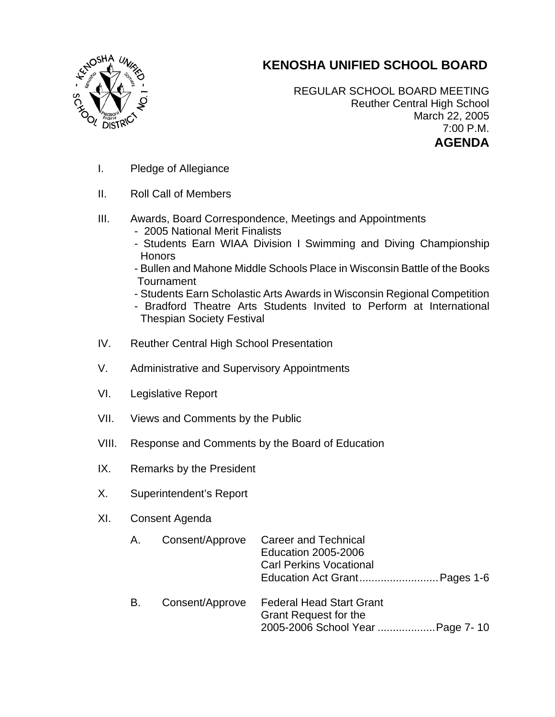## **KENOSHA UNIFIED SCHOOL BOARD**



REGULAR SCHOOL BOARD MEETING Reuther Central High School March 22, 2005 7:00 P.M. **AGENDA** 

- I. Pledge of Allegiance
- II. Roll Call of Members
- III. Awards, Board Correspondence, Meetings and Appointments
	- 2005 National Merit Finalists
	- Students Earn WIAA Division I Swimming and Diving Championship Honors
	- Bullen and Mahone Middle Schools Place in Wisconsin Battle of the Books **Tournament**
	- Students Earn Scholastic Arts Awards in Wisconsin Regional Competition
	- Bradford Theatre Arts Students Invited to Perform at International Thespian Society Festival
- IV. Reuther Central High School Presentation
- V. Administrative and Supervisory Appointments
- VI. Legislative Report
- VII. Views and Comments by the Public
- VIII. Response and Comments by the Board of Education
- IX. Remarks by the President
- X. Superintendent's Report
- XI. Consent Agenda

| А. | Consent/Approve | <b>Career and Technical</b><br><b>Education 2005-2006</b><br><b>Carl Perkins Vocational</b><br>Education Act Grant Pages 1-6 |
|----|-----------------|------------------------------------------------------------------------------------------------------------------------------|
| В. | Consent/Approve | <b>Federal Head Start Grant</b><br><b>Grant Request for the</b><br>2005-2006 School Year  Page 7-10                          |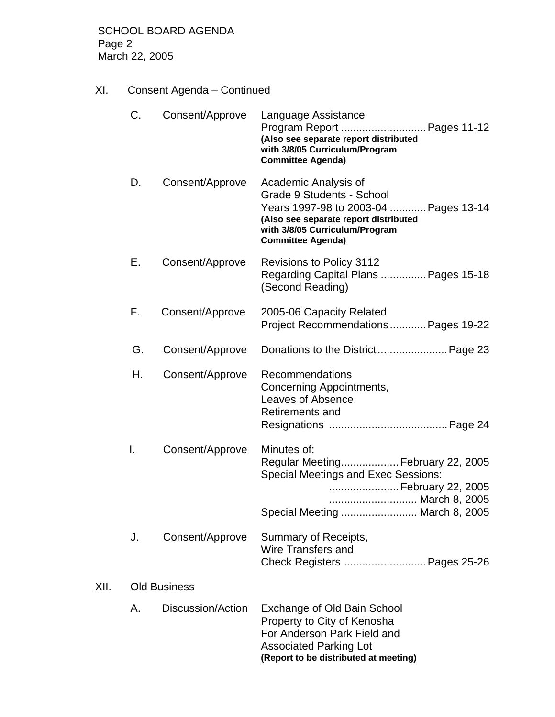XI. Consent Agenda – Continued

|      | C. | Consent/Approve     | Language Assistance<br>Program Report  Pages 11-12<br>(Also see separate report distributed<br>with 3/8/05 Curriculum/Program<br><b>Committee Agenda)</b>                                         |
|------|----|---------------------|---------------------------------------------------------------------------------------------------------------------------------------------------------------------------------------------------|
|      | D. | Consent/Approve     | Academic Analysis of<br>Grade 9 Students - School<br>Years 1997-98 to 2003-04  Pages 13-14<br>(Also see separate report distributed<br>with 3/8/05 Curriculum/Program<br><b>Committee Agenda)</b> |
|      | Е. | Consent/Approve     | <b>Revisions to Policy 3112</b><br>Regarding Capital Plans  Pages 15-18<br>(Second Reading)                                                                                                       |
|      | F. | Consent/Approve     | 2005-06 Capacity Related<br>Project Recommendations Pages 19-22                                                                                                                                   |
|      | G. | Consent/Approve     |                                                                                                                                                                                                   |
|      | Η. | Consent/Approve     | Recommendations<br>Concerning Appointments,<br>Leaves of Absence,<br><b>Retirements and</b>                                                                                                       |
|      | I. | Consent/Approve     | Minutes of:<br>Regular Meeting February 22, 2005<br><b>Special Meetings and Exec Sessions:</b><br>February 22, 2005<br>March 8, 2005<br>Special Meeting  March 8, 2005                            |
|      | J. | Consent/Approve     | Summary of Receipts,<br>Wire Transfers and<br>Check Registers  Pages 25-26                                                                                                                        |
| XII. |    | <b>Old Business</b> |                                                                                                                                                                                                   |
|      | Α. | Discussion/Action   | Exchange of Old Bain School<br>Property to City of Kenosha<br>For Anderson Park Field and<br><b>Associated Parking Lot</b><br>(Report to be distributed at meeting)                               |